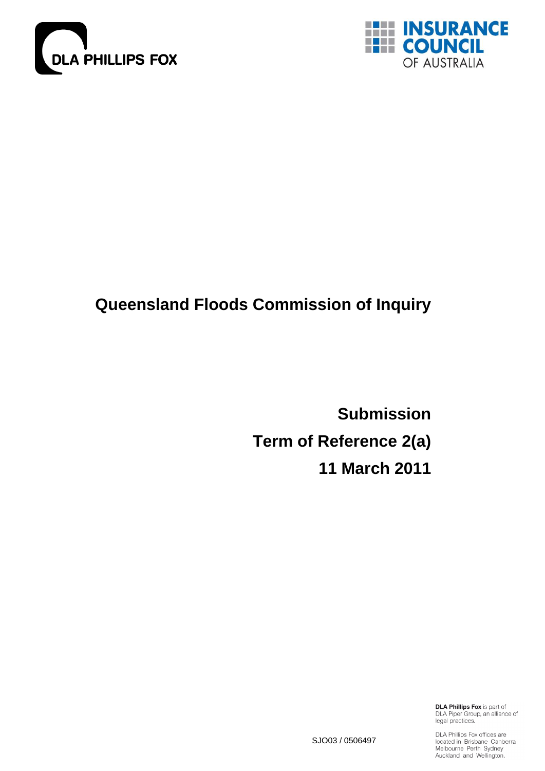



# **Queensland Floods Commission of Inquiry**

**Submission Term of Reference 2(a) 11 March 2011**

> **DLA Phillips Fox is part of** DLA Piper Group, an alliance of<br>legal practices.

SJO03 / 0506497

DLA Phillips Fox offices are<br>located in Brisbane Canberra<br>Melbourne Perth Sydney Auckland and Wellington.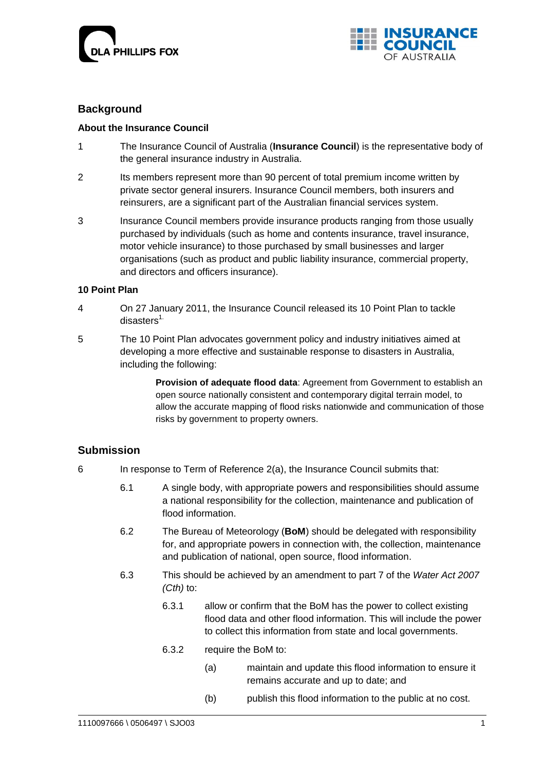



## **Background**

## **About the Insurance Council**

- 1 The Insurance Council of Australia (**Insurance Council**) is the representative body of the general insurance industry in Australia.
- 2 Its members represent more than 90 percent of total premium income written by private sector general insurers. Insurance Council members, both insurers and reinsurers, are a significant part of the Australian financial services system.
- 3 Insurance Council members provide insurance products ranging from those usually purchased by individuals (such as home and contents insurance, travel insurance, motor vehicle insurance) to those purchased by small businesses and larger organisations (such as product and public liability insurance, commercial property, and directors and officers insurance).

## **10 Point Plan**

- 4 On 27 January 2011, the Insurance Council released its 10 Point Plan to tackle disasters $1$ .
- 5 The 10 Point Plan advocates government policy and industry initiatives aimed at developing a more effective and sustainable response to disasters in Australia, including the following:

**Provision of adequate flood data**: Agreement from Government to establish an open source nationally consistent and contemporary digital terrain model, to allow the accurate mapping of flood risks nationwide and communication of those risks by government to property owners.

## **Submission**

- 6 In response to Term of Reference 2(a), the Insurance Council submits that:
	- 6.1 A single body, with appropriate powers and responsibilities should assume a national responsibility for the collection, maintenance and publication of flood information.
	- 6.2 The Bureau of Meteorology (**BoM**) should be delegated with responsibility for, and appropriate powers in connection with, the collection, maintenance and publication of national, open source, flood information.
	- 6.3 This should be achieved by an amendment to part 7 of the *[Water Act 2007](http://www.comlaw.gov.au/ComLaw/Legislation/Act1.nsf/all/search/E511A5A262379705CA25734C001ED679) (Cth)* to:
		- 6.3.1 allow or confirm that the BoM has the power to collect existing flood data and other flood information. This will include the power to collect this information from state and local governments.
		- 6.3.2 require the BoM to:
			- (a) maintain and update this flood information to ensure it remains accurate and up to date; and
			- (b) publish this flood information to the public at no cost.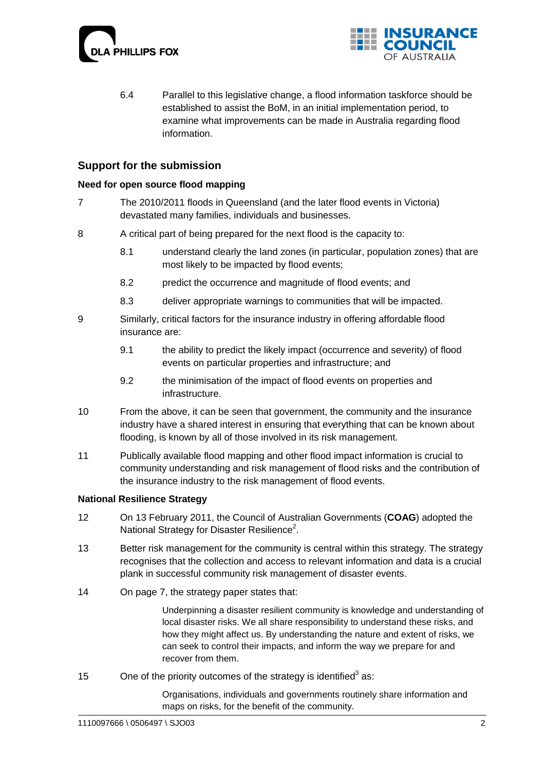



6.4 Parallel to this legislative change, a flood information taskforce should be established to assist the BoM, in an initial implementation period, to examine what improvements can be made in Australia regarding flood information.

## **Support for the submission**

## **Need for open source flood mapping**

- 7 The 2010/2011 floods in Queensland (and the later flood events in Victoria) devastated many families, individuals and businesses.
- 8 A critical part of being prepared for the next flood is the capacity to:
	- 8.1 understand clearly the land zones (in particular, population zones) that are most likely to be impacted by flood events;
	- 8.2 predict the occurrence and magnitude of flood events; and
	- 8.3 deliver appropriate warnings to communities that will be impacted.
- 9 Similarly, critical factors for the insurance industry in offering affordable flood insurance are:
	- 9.1 the ability to predict the likely impact (occurrence and severity) of flood events on particular properties and infrastructure; and
	- 9.2 the minimisation of the impact of flood events on properties and infrastructure.
- 10 From the above, it can be seen that government, the community and the insurance industry have a shared interest in ensuring that everything that can be known about flooding, is known by all of those involved in its risk management.
- 11 Publically available flood mapping and other flood impact information is crucial to community understanding and risk management of flood risks and the contribution of the insurance industry to the risk management of flood events.

#### **National Resilience Strategy**

- 12 On 13 February 2011, the Council of Australian Governments (**COAG**) adopted the National Strategy for Disaster Resilience<sup>2</sup>.
- 13 Better risk management for the community is central within this strategy. The strategy recognises that the collection and access to relevant information and data is a crucial plank in successful community risk management of disaster events.
- 14 On page 7, the strategy paper states that:

Underpinning a disaster resilient community is knowledge and understanding of local disaster risks. We all share responsibility to understand these risks, and how they might affect us. By understanding the nature and extent of risks, we can seek to control their impacts, and inform the way we prepare for and recover from them.

15 One of the priority outcomes of the strategy is identified<sup>3</sup> as:

Organisations, individuals and governments routinely share information and maps on risks, for the benefit of the community.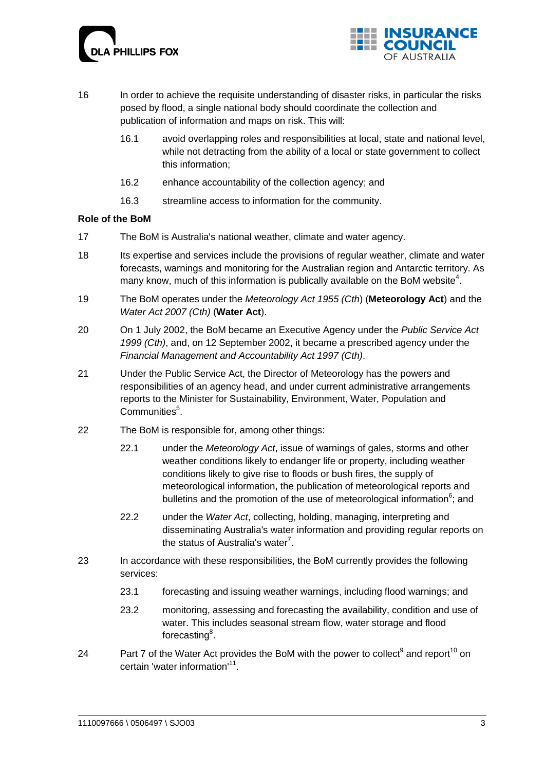



- 16 In order to achieve the requisite understanding of disaster risks, in particular the risks posed by flood, a single national body should coordinate the collection and publication of information and maps on risk. This will:
	- 16.1 avoid overlapping roles and responsibilities at local, state and national level, while not detracting from the ability of a local or state government to collect this information;
	- 16.2 enhance accountability of the collection agency; and
	- 16.3 streamline access to information for the community.

## **Role of the BoM**

- 17 The BoM is Australia's national weather, climate and water agency.
- 18 Its expertise and services include the provisions of regular weather, climate and water forecasts, warnings and monitoring for the Australian region and Antarctic territory. As many know, much of this information is publically available on the BoM website<sup>4</sup>.
- 19 The BoM operates under the *[Meteorology Act 1955](http://www.comlaw.gov.au/ComLaw/Legislation/ActCompilation1.nsf/all/search/8D55157E388803BDCA2573520003F357) (Cth*) (**Meteorology Act**) and the *[Water Act 2007](http://www.comlaw.gov.au/ComLaw/Legislation/Act1.nsf/all/search/E511A5A262379705CA25734C001ED679) (Cth)* (**Water Act**).
- 20 On 1 July 2002, the BoM became an Executive Agency under the *[Public Service Act](http://www.comlaw.gov.au/comlaw/Legislation/ActCompilation1.nsf/0/B2B52506ADE50574CA2575F400225FD4?OpenDocument)  [1999](http://www.comlaw.gov.au/comlaw/Legislation/ActCompilation1.nsf/0/B2B52506ADE50574CA2575F400225FD4?OpenDocument) (Cth)*, and, on 12 September 2002, it became a prescribed agency under the *[Financial Management and Accountability Act 1997](http://www.comlaw.gov.au/comlaw/Legislation/ActCompilation1.nsf/0/941B392689EDD64FCA25757D00817555?OpenDocument) (Cth)*.
- 21 Under the Public Service Act, the Director of Meteorology has the powers and responsibilities of an agency head, and under current administrative arrangements reports to the Minister for Sustainability, Environment, Water, Population and Communities<sup>5</sup>.
- 22 The BoM is responsible for, among other things:
	- 22.1 under the *Meteorology Act*, issue of warnings of gales, storms and other weather conditions likely to endanger life or property, including weather conditions likely to give rise to floods or bush fires, the supply of meteorological information, the publication of meteorological reports and bulletins and the promotion of the use of meteorological information<sup>6</sup>; and
	- 22.2 under the *Water Act*, collecting, holding, managing, interpreting and disseminating Australia's water information and providing regular reports on the status of Australia's water<sup>7</sup>.
- 23 In accordance with these responsibilities, the BoM currently provides the following services:
	- 23.1 forecasting and issuing weather warnings, including flood warnings; and
	- 23.2 monitoring, assessing and forecasting the availability, condition and use of water. This includes seasonal stream flow, water storage and flood forecasting<sup>8</sup>.
- 24 Part 7 of the Water Act provides the BoM with the power to collect<sup>9</sup> and report<sup>10</sup> on certain 'water information'<sup>11</sup>.